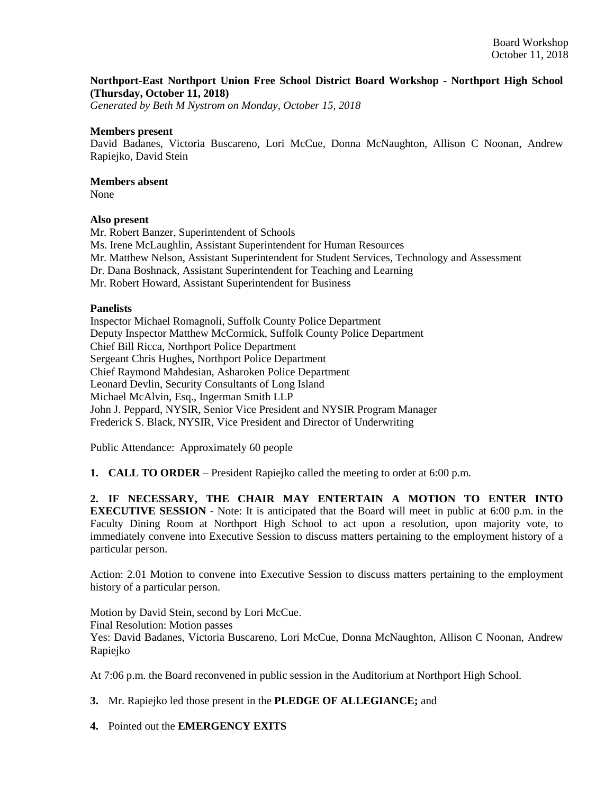## **Northport-East Northport Union Free School District Board Workshop - Northport High School (Thursday, October 11, 2018)**

*Generated by Beth M Nystrom on Monday, October 15, 2018*

#### **Members present**

David Badanes, Victoria Buscareno, Lori McCue, Donna McNaughton, Allison C Noonan, Andrew Rapiejko, David Stein

# **Members absent**

None

## **Also present**

Mr. Robert Banzer, Superintendent of Schools Ms. Irene McLaughlin, Assistant Superintendent for Human Resources Mr. Matthew Nelson, Assistant Superintendent for Student Services, Technology and Assessment Dr. Dana Boshnack, Assistant Superintendent for Teaching and Learning Mr. Robert Howard, Assistant Superintendent for Business

#### **Panelists**

Inspector Michael Romagnoli, Suffolk County Police Department Deputy Inspector Matthew McCormick, Suffolk County Police Department Chief Bill Ricca, Northport Police Department Sergeant Chris Hughes, Northport Police Department Chief Raymond Mahdesian, Asharoken Police Department Leonard Devlin, Security Consultants of Long Island Michael McAlvin, Esq., Ingerman Smith LLP John J. Peppard, NYSIR, Senior Vice President and NYSIR Program Manager Frederick S. Black, NYSIR, Vice President and Director of Underwriting

Public Attendance: Approximately 60 people

**1. CALL TO ORDER** – President Rapiejko called the meeting to order at 6:00 p.m.

**2. IF NECESSARY, THE CHAIR MAY ENTERTAIN A MOTION TO ENTER INTO EXECUTIVE SESSION** - Note: It is anticipated that the Board will meet in public at 6:00 p.m. in the Faculty Dining Room at Northport High School to act upon a resolution, upon majority vote, to immediately convene into Executive Session to discuss matters pertaining to the employment history of a particular person.

Action: 2.01 Motion to convene into Executive Session to discuss matters pertaining to the employment history of a particular person.

Motion by David Stein, second by Lori McCue. Final Resolution: Motion passes Yes: David Badanes, Victoria Buscareno, Lori McCue, Donna McNaughton, Allison C Noonan, Andrew Rapiejko

At 7:06 p.m. the Board reconvened in public session in the Auditorium at Northport High School.

**3.** Mr. Rapiejko led those present in the **PLEDGE OF ALLEGIANCE;** and

**4.** Pointed out the **EMERGENCY EXITS**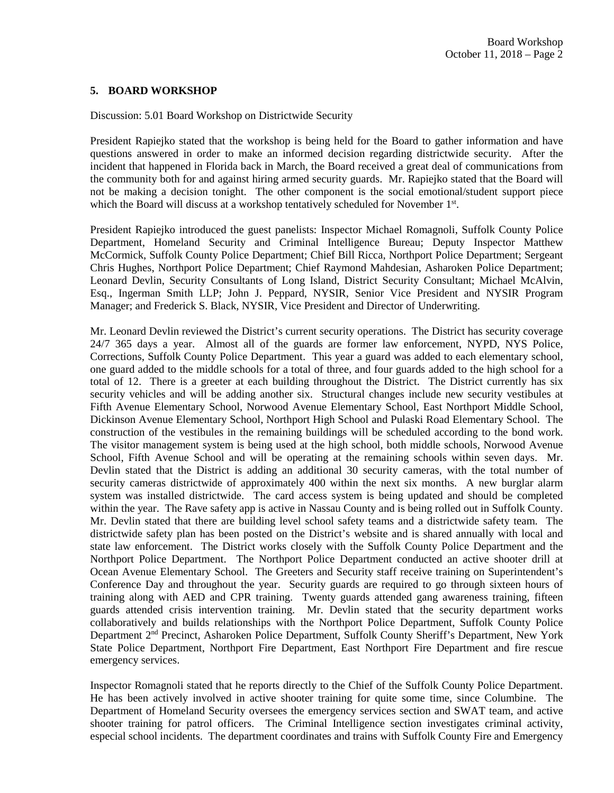## **5. BOARD WORKSHOP**

Discussion: 5.01 Board Workshop on Districtwide Security

President Rapiejko stated that the workshop is being held for the Board to gather information and have questions answered in order to make an informed decision regarding districtwide security. After the incident that happened in Florida back in March, the Board received a great deal of communications from the community both for and against hiring armed security guards. Mr. Rapiejko stated that the Board will not be making a decision tonight. The other component is the social emotional/student support piece which the Board will discuss at a workshop tentatively scheduled for November 1<sup>st</sup>.

President Rapiejko introduced the guest panelists: Inspector Michael Romagnoli, Suffolk County Police Department, Homeland Security and Criminal Intelligence Bureau; Deputy Inspector Matthew McCormick, Suffolk County Police Department; Chief Bill Ricca, Northport Police Department; Sergeant Chris Hughes, Northport Police Department; Chief Raymond Mahdesian, Asharoken Police Department; Leonard Devlin, Security Consultants of Long Island, District Security Consultant; Michael McAlvin, Esq., Ingerman Smith LLP; John J. Peppard, NYSIR, Senior Vice President and NYSIR Program Manager; and Frederick S. Black, NYSIR, Vice President and Director of Underwriting.

Mr. Leonard Devlin reviewed the District's current security operations. The District has security coverage 24/7 365 days a year. Almost all of the guards are former law enforcement, NYPD, NYS Police, Corrections, Suffolk County Police Department. This year a guard was added to each elementary school, one guard added to the middle schools for a total of three, and four guards added to the high school for a total of 12. There is a greeter at each building throughout the District. The District currently has six security vehicles and will be adding another six. Structural changes include new security vestibules at Fifth Avenue Elementary School, Norwood Avenue Elementary School, East Northport Middle School, Dickinson Avenue Elementary School, Northport High School and Pulaski Road Elementary School. The construction of the vestibules in the remaining buildings will be scheduled according to the bond work. The visitor management system is being used at the high school, both middle schools, Norwood Avenue School, Fifth Avenue School and will be operating at the remaining schools within seven days. Mr. Devlin stated that the District is adding an additional 30 security cameras, with the total number of security cameras districtwide of approximately 400 within the next six months. A new burglar alarm system was installed districtwide. The card access system is being updated and should be completed within the year. The Rave safety app is active in Nassau County and is being rolled out in Suffolk County. Mr. Devlin stated that there are building level school safety teams and a districtwide safety team. The districtwide safety plan has been posted on the District's website and is shared annually with local and state law enforcement. The District works closely with the Suffolk County Police Department and the Northport Police Department. The Northport Police Department conducted an active shooter drill at Ocean Avenue Elementary School. The Greeters and Security staff receive training on Superintendent's Conference Day and throughout the year. Security guards are required to go through sixteen hours of training along with AED and CPR training. Twenty guards attended gang awareness training, fifteen guards attended crisis intervention training. Mr. Devlin stated that the security department works collaboratively and builds relationships with the Northport Police Department, Suffolk County Police Department 2<sup>nd</sup> Precinct, Asharoken Police Department, Suffolk County Sheriff's Department, New York State Police Department, Northport Fire Department, East Northport Fire Department and fire rescue emergency services.

Inspector Romagnoli stated that he reports directly to the Chief of the Suffolk County Police Department. He has been actively involved in active shooter training for quite some time, since Columbine. The Department of Homeland Security oversees the emergency services section and SWAT team, and active shooter training for patrol officers. The Criminal Intelligence section investigates criminal activity, especial school incidents. The department coordinates and trains with Suffolk County Fire and Emergency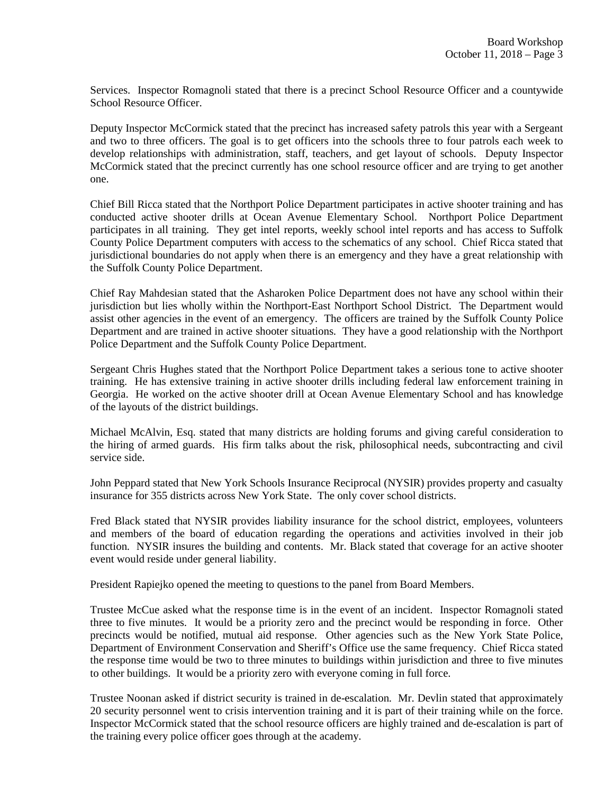Services. Inspector Romagnoli stated that there is a precinct School Resource Officer and a countywide School Resource Officer.

Deputy Inspector McCormick stated that the precinct has increased safety patrols this year with a Sergeant and two to three officers. The goal is to get officers into the schools three to four patrols each week to develop relationships with administration, staff, teachers, and get layout of schools. Deputy Inspector McCormick stated that the precinct currently has one school resource officer and are trying to get another one.

Chief Bill Ricca stated that the Northport Police Department participates in active shooter training and has conducted active shooter drills at Ocean Avenue Elementary School. Northport Police Department participates in all training. They get intel reports, weekly school intel reports and has access to Suffolk County Police Department computers with access to the schematics of any school. Chief Ricca stated that jurisdictional boundaries do not apply when there is an emergency and they have a great relationship with the Suffolk County Police Department.

Chief Ray Mahdesian stated that the Asharoken Police Department does not have any school within their jurisdiction but lies wholly within the Northport-East Northport School District. The Department would assist other agencies in the event of an emergency. The officers are trained by the Suffolk County Police Department and are trained in active shooter situations. They have a good relationship with the Northport Police Department and the Suffolk County Police Department.

Sergeant Chris Hughes stated that the Northport Police Department takes a serious tone to active shooter training. He has extensive training in active shooter drills including federal law enforcement training in Georgia. He worked on the active shooter drill at Ocean Avenue Elementary School and has knowledge of the layouts of the district buildings.

Michael McAlvin, Esq. stated that many districts are holding forums and giving careful consideration to the hiring of armed guards. His firm talks about the risk, philosophical needs, subcontracting and civil service side.

John Peppard stated that New York Schools Insurance Reciprocal (NYSIR) provides property and casualty insurance for 355 districts across New York State. The only cover school districts.

Fred Black stated that NYSIR provides liability insurance for the school district, employees, volunteers and members of the board of education regarding the operations and activities involved in their job function. NYSIR insures the building and contents. Mr. Black stated that coverage for an active shooter event would reside under general liability.

President Rapiejko opened the meeting to questions to the panel from Board Members.

Trustee McCue asked what the response time is in the event of an incident. Inspector Romagnoli stated three to five minutes. It would be a priority zero and the precinct would be responding in force. Other precincts would be notified, mutual aid response. Other agencies such as the New York State Police, Department of Environment Conservation and Sheriff's Office use the same frequency. Chief Ricca stated the response time would be two to three minutes to buildings within jurisdiction and three to five minutes to other buildings. It would be a priority zero with everyone coming in full force.

Trustee Noonan asked if district security is trained in de-escalation. Mr. Devlin stated that approximately 20 security personnel went to crisis intervention training and it is part of their training while on the force. Inspector McCormick stated that the school resource officers are highly trained and de-escalation is part of the training every police officer goes through at the academy.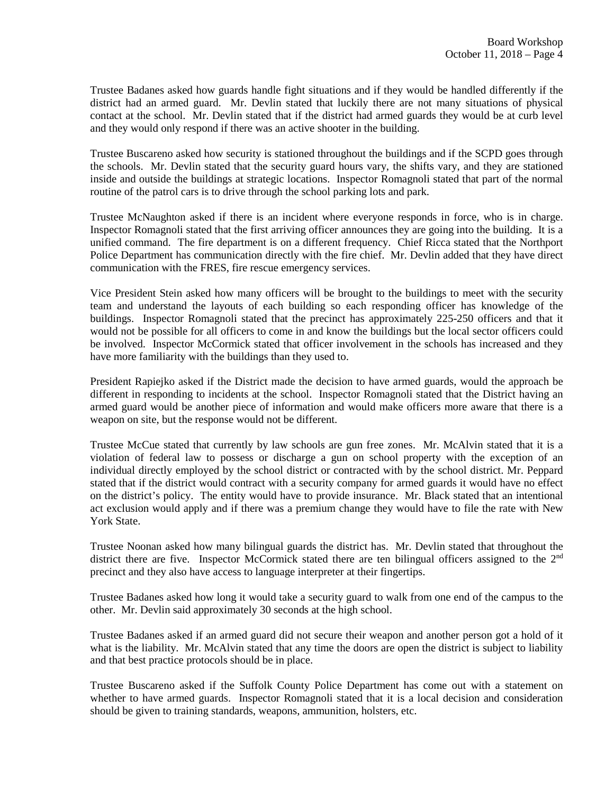Trustee Badanes asked how guards handle fight situations and if they would be handled differently if the district had an armed guard. Mr. Devlin stated that luckily there are not many situations of physical contact at the school. Mr. Devlin stated that if the district had armed guards they would be at curb level and they would only respond if there was an active shooter in the building.

Trustee Buscareno asked how security is stationed throughout the buildings and if the SCPD goes through the schools. Mr. Devlin stated that the security guard hours vary, the shifts vary, and they are stationed inside and outside the buildings at strategic locations. Inspector Romagnoli stated that part of the normal routine of the patrol cars is to drive through the school parking lots and park.

Trustee McNaughton asked if there is an incident where everyone responds in force, who is in charge. Inspector Romagnoli stated that the first arriving officer announces they are going into the building. It is a unified command. The fire department is on a different frequency. Chief Ricca stated that the Northport Police Department has communication directly with the fire chief. Mr. Devlin added that they have direct communication with the FRES, fire rescue emergency services.

Vice President Stein asked how many officers will be brought to the buildings to meet with the security team and understand the layouts of each building so each responding officer has knowledge of the buildings. Inspector Romagnoli stated that the precinct has approximately 225-250 officers and that it would not be possible for all officers to come in and know the buildings but the local sector officers could be involved. Inspector McCormick stated that officer involvement in the schools has increased and they have more familiarity with the buildings than they used to.

President Rapiejko asked if the District made the decision to have armed guards, would the approach be different in responding to incidents at the school. Inspector Romagnoli stated that the District having an armed guard would be another piece of information and would make officers more aware that there is a weapon on site, but the response would not be different.

Trustee McCue stated that currently by law schools are gun free zones. Mr. McAlvin stated that it is a violation of federal law to possess or discharge a gun on school property with the exception of an individual directly employed by the school district or contracted with by the school district. Mr. Peppard stated that if the district would contract with a security company for armed guards it would have no effect on the district's policy. The entity would have to provide insurance. Mr. Black stated that an intentional act exclusion would apply and if there was a premium change they would have to file the rate with New York State.

Trustee Noonan asked how many bilingual guards the district has. Mr. Devlin stated that throughout the district there are five. Inspector McCormick stated there are ten bilingual officers assigned to the  $2<sup>nd</sup>$ precinct and they also have access to language interpreter at their fingertips.

Trustee Badanes asked how long it would take a security guard to walk from one end of the campus to the other. Mr. Devlin said approximately 30 seconds at the high school.

Trustee Badanes asked if an armed guard did not secure their weapon and another person got a hold of it what is the liability. Mr. McAlvin stated that any time the doors are open the district is subject to liability and that best practice protocols should be in place.

Trustee Buscareno asked if the Suffolk County Police Department has come out with a statement on whether to have armed guards. Inspector Romagnoli stated that it is a local decision and consideration should be given to training standards, weapons, ammunition, holsters, etc.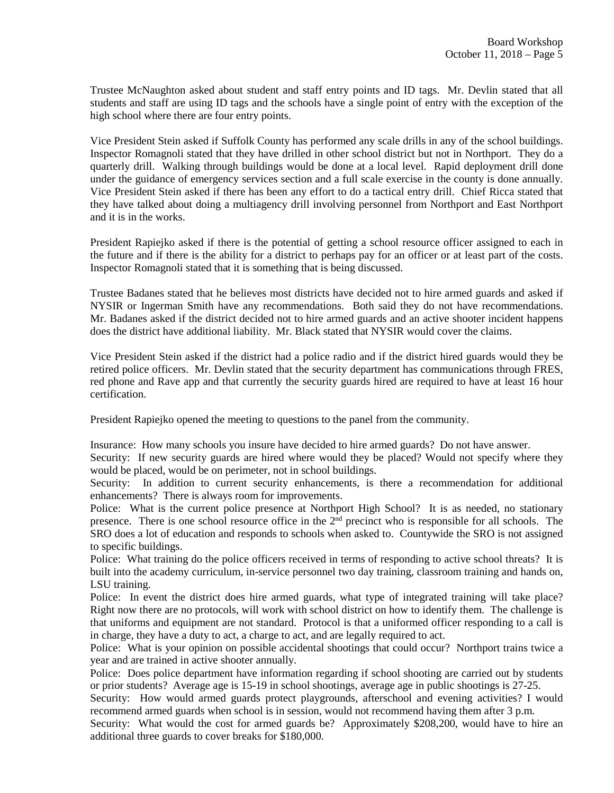Trustee McNaughton asked about student and staff entry points and ID tags. Mr. Devlin stated that all students and staff are using ID tags and the schools have a single point of entry with the exception of the high school where there are four entry points.

Vice President Stein asked if Suffolk County has performed any scale drills in any of the school buildings. Inspector Romagnoli stated that they have drilled in other school district but not in Northport. They do a quarterly drill. Walking through buildings would be done at a local level. Rapid deployment drill done under the guidance of emergency services section and a full scale exercise in the county is done annually. Vice President Stein asked if there has been any effort to do a tactical entry drill. Chief Ricca stated that they have talked about doing a multiagency drill involving personnel from Northport and East Northport and it is in the works.

President Rapiejko asked if there is the potential of getting a school resource officer assigned to each in the future and if there is the ability for a district to perhaps pay for an officer or at least part of the costs. Inspector Romagnoli stated that it is something that is being discussed.

Trustee Badanes stated that he believes most districts have decided not to hire armed guards and asked if NYSIR or Ingerman Smith have any recommendations. Both said they do not have recommendations. Mr. Badanes asked if the district decided not to hire armed guards and an active shooter incident happens does the district have additional liability. Mr. Black stated that NYSIR would cover the claims.

Vice President Stein asked if the district had a police radio and if the district hired guards would they be retired police officers. Mr. Devlin stated that the security department has communications through FRES, red phone and Rave app and that currently the security guards hired are required to have at least 16 hour certification.

President Rapiejko opened the meeting to questions to the panel from the community.

Insurance: How many schools you insure have decided to hire armed guards? Do not have answer.

Security: If new security guards are hired where would they be placed? Would not specify where they would be placed, would be on perimeter, not in school buildings.

Security: In addition to current security enhancements, is there a recommendation for additional enhancements? There is always room for improvements.

Police: What is the current police presence at Northport High School? It is as needed, no stationary presence. There is one school resource office in the  $2<sup>nd</sup>$  precinct who is responsible for all schools. The SRO does a lot of education and responds to schools when asked to. Countywide the SRO is not assigned to specific buildings.

Police: What training do the police officers received in terms of responding to active school threats? It is built into the academy curriculum, in-service personnel two day training, classroom training and hands on, LSU training.

Police: In event the district does hire armed guards, what type of integrated training will take place? Right now there are no protocols, will work with school district on how to identify them. The challenge is that uniforms and equipment are not standard. Protocol is that a uniformed officer responding to a call is in charge, they have a duty to act, a charge to act, and are legally required to act.

Police: What is your opinion on possible accidental shootings that could occur? Northport trains twice a year and are trained in active shooter annually.

Police: Does police department have information regarding if school shooting are carried out by students or prior students? Average age is 15-19 in school shootings, average age in public shootings is 27-25.

Security: How would armed guards protect playgrounds, afterschool and evening activities? I would recommend armed guards when school is in session, would not recommend having them after 3 p.m.

Security: What would the cost for armed guards be? Approximately \$208,200, would have to hire an additional three guards to cover breaks for \$180,000.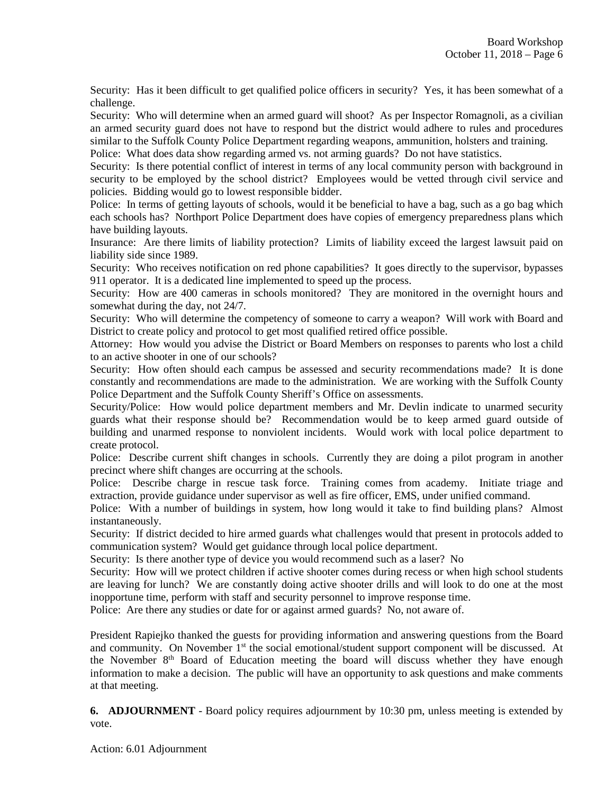Security: Has it been difficult to get qualified police officers in security? Yes, it has been somewhat of a challenge.

Security: Who will determine when an armed guard will shoot? As per Inspector Romagnoli, as a civilian an armed security guard does not have to respond but the district would adhere to rules and procedures similar to the Suffolk County Police Department regarding weapons, ammunition, holsters and training.

Police: What does data show regarding armed vs. not arming guards? Do not have statistics.

Security: Is there potential conflict of interest in terms of any local community person with background in security to be employed by the school district? Employees would be vetted through civil service and policies. Bidding would go to lowest responsible bidder.

Police: In terms of getting layouts of schools, would it be beneficial to have a bag, such as a go bag which each schools has? Northport Police Department does have copies of emergency preparedness plans which have building layouts.

Insurance: Are there limits of liability protection? Limits of liability exceed the largest lawsuit paid on liability side since 1989.

Security: Who receives notification on red phone capabilities? It goes directly to the supervisor, bypasses 911 operator. It is a dedicated line implemented to speed up the process.

Security: How are 400 cameras in schools monitored? They are monitored in the overnight hours and somewhat during the day, not 24/7.

Security: Who will determine the competency of someone to carry a weapon? Will work with Board and District to create policy and protocol to get most qualified retired office possible.

Attorney: How would you advise the District or Board Members on responses to parents who lost a child to an active shooter in one of our schools?

Security: How often should each campus be assessed and security recommendations made? It is done constantly and recommendations are made to the administration. We are working with the Suffolk County Police Department and the Suffolk County Sheriff's Office on assessments.

Security/Police: How would police department members and Mr. Devlin indicate to unarmed security guards what their response should be? Recommendation would be to keep armed guard outside of building and unarmed response to nonviolent incidents. Would work with local police department to create protocol.

Police: Describe current shift changes in schools. Currently they are doing a pilot program in another precinct where shift changes are occurring at the schools.

Police: Describe charge in rescue task force. Training comes from academy. Initiate triage and extraction, provide guidance under supervisor as well as fire officer, EMS, under unified command.

Police: With a number of buildings in system, how long would it take to find building plans? Almost instantaneously.

Security: If district decided to hire armed guards what challenges would that present in protocols added to communication system? Would get guidance through local police department.

Security: Is there another type of device you would recommend such as a laser? No

Security: How will we protect children if active shooter comes during recess or when high school students are leaving for lunch? We are constantly doing active shooter drills and will look to do one at the most inopportune time, perform with staff and security personnel to improve response time.

Police: Are there any studies or date for or against armed guards? No, not aware of.

President Rapiejko thanked the guests for providing information and answering questions from the Board and community. On November  $1<sup>st</sup>$  the social emotional/student support component will be discussed. At the November  $8<sup>th</sup>$  Board of Education meeting the board will discuss whether they have enough information to make a decision. The public will have an opportunity to ask questions and make comments at that meeting.

**6. ADJOURNMENT** - Board policy requires adjournment by 10:30 pm, unless meeting is extended by vote.

Action: 6.01 Adjournment